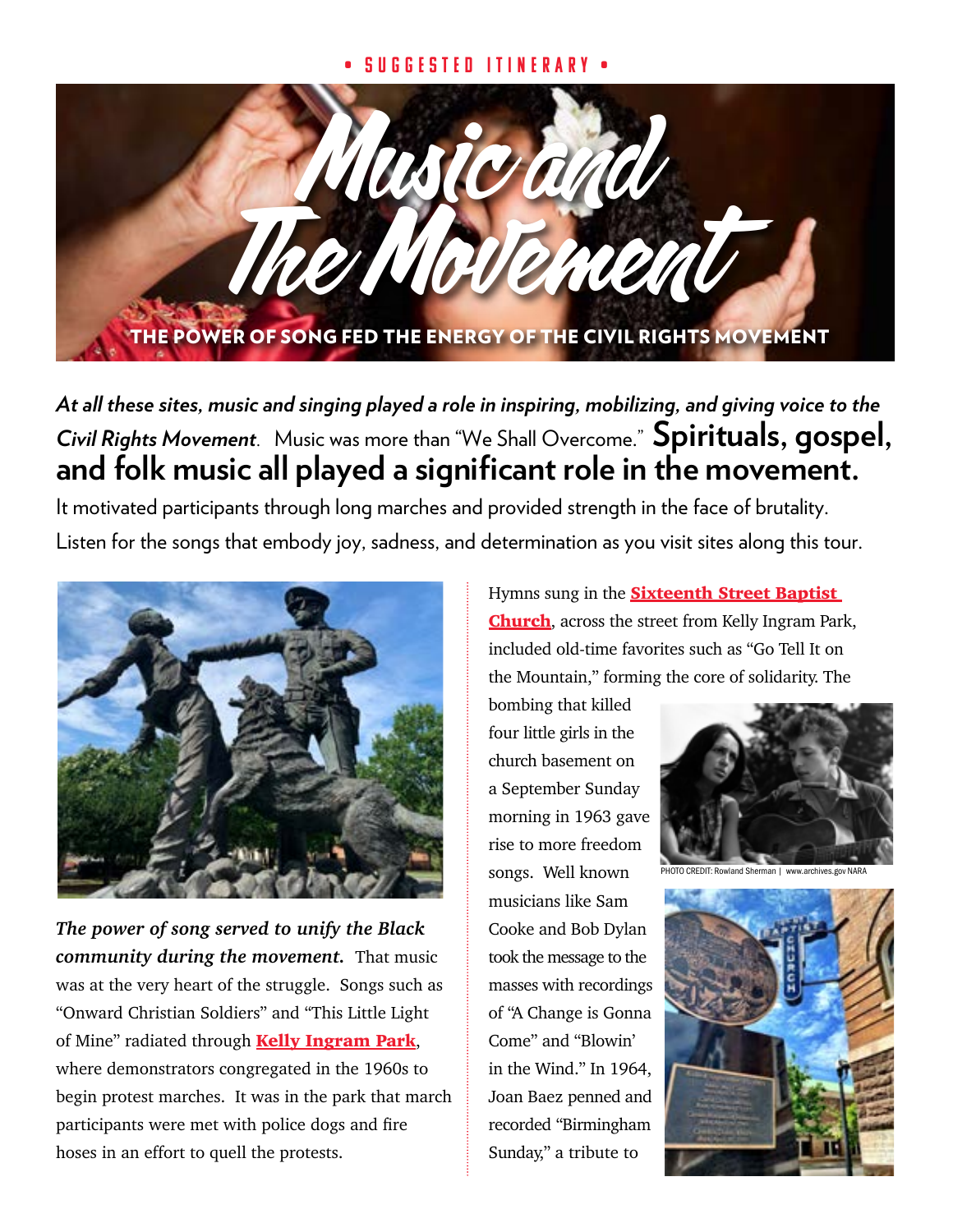## • Suggested Itinerary •



*At all these sites, music and singing played a role in inspiring, mobilizing, and giving voice to the Civil Rights Movement*. Music was more than "We Shall Overcome." **Spirituals, gospel, and folk music all played a significant role in the movement.** 

It motivated participants through long marches and provided strength in the face of brutality. Listen for the songs that embody joy, sadness, and determination as you visit sites along this tour.



*The power of song served to unify the Black community during the movement.* That music was at the very heart of the struggle. Songs such as "Onward Christian Soldiers" and "This Little Light of Mine" radiated through **[Kelly Ingram Park](https://www.birminghamal.org/listings/kelly-ingram-park/)**, where demonstrators congregated in the 1960s to begin protest marches. It was in the park that march participants were met with police dogs and fire hoses in an effort to quell the protests.

Hymns sung in the **Sixteenth Street Baptist** [Church](https://www.16thstreetbaptist.org), across the street from Kelly Ingram Park, included old-time favorites such as "Go Tell It on the Mountain," forming the core of solidarity. The

bombing that killed four little girls in the church basement on a September Sunday morning in 1963 gave rise to more freedom songs. Well known musicians like Sam Cooke and Bob Dylan took the message to the masses with recordings of "A Change is Gonna Come" and "Blowin' in the Wind." In 1964, Joan Baez penned and recorded "Birmingham Sunday," a tribute to



O CREDIT: Rowland Sherman | www.archives.gov NAF